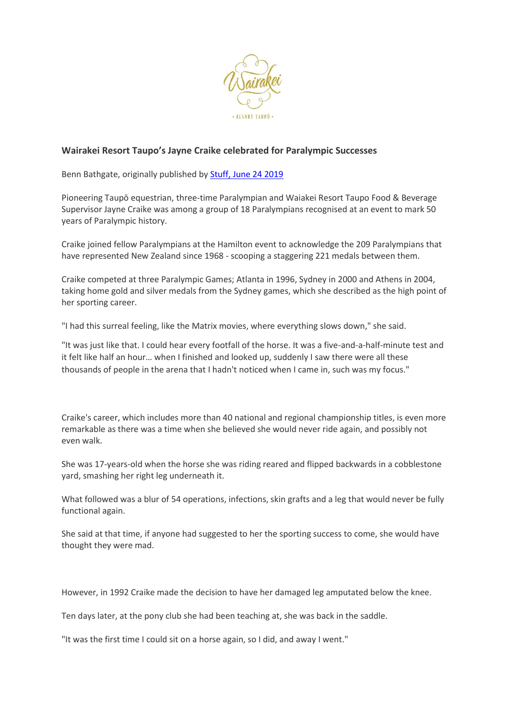

## **Wairakei Resort Taupo's Jayne Craike celebrated for Paralympic Successes**

Benn Bathgate, originally published by Stuff, [June 24 2019](https://www.stuff.co.nz/sport/113677418/glass-half-full-attitude-key-to-gold))

Pioneering Taupō equestrian, three-time Paralympian and Waiakei Resort Taupo Food & Beverage Supervisor Jayne Craike was among a group of 18 Paralympians recognised at an event to mark 50 years of Paralympic history.

Craike joined fellow Paralympians at the Hamilton event to acknowledge the 209 Paralympians that have represented New Zealand since 1968 - scooping a staggering 221 medals between them.

Craike competed at three Paralympic Games; Atlanta in 1996, Sydney in 2000 and Athens in 2004, taking home gold and silver medals from the Sydney games, which she described as the high point of her sporting career.

"I had this surreal feeling, like the Matrix movies, where everything slows down," she said.

"It was just like that. I could hear every footfall of the horse. It was a five-and-a-half-minute test and it felt like half an hour… when I finished and looked up, suddenly I saw there were all these thousands of people in the arena that I hadn't noticed when I came in, such was my focus."

Craike's career, which includes more than 40 national and regional championship titles, is even more remarkable as there was a time when she believed she would never ride again, and possibly not even walk.

She was 17-years-old when the horse she was riding reared and flipped backwards in a cobblestone yard, smashing her right leg underneath it.

What followed was a blur of 54 operations, infections, skin grafts and a leg that would never be fully functional again.

She said at that time, if anyone had suggested to her the sporting success to come, she would have thought they were mad.

However, in 1992 Craike made the decision to have her damaged leg amputated below the knee.

Ten days later, at the pony club she had been teaching at, she was back in the saddle.

"It was the first time I could sit on a horse again, so I did, and away I went."